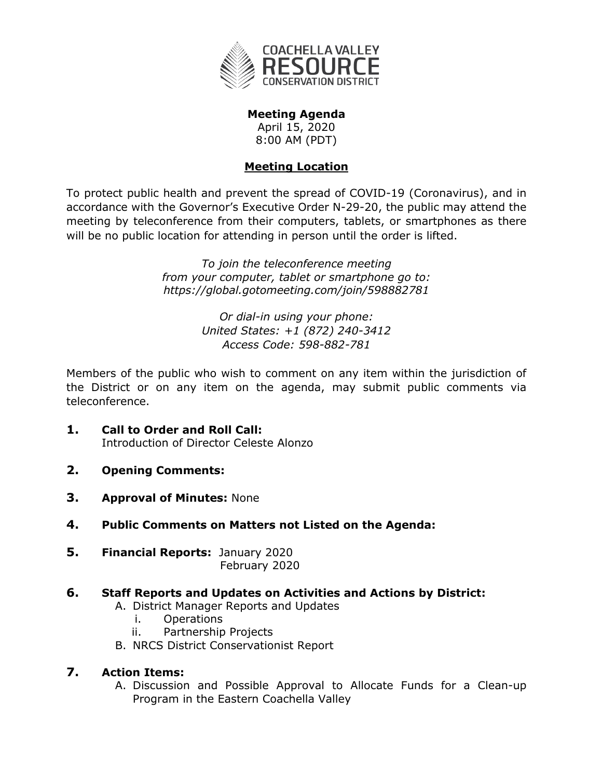

**Meeting Agenda** April 15, 2020 8:00 AM (PDT)

# **Meeting Location**

To protect public health and prevent the spread of COVID-19 (Coronavirus), and in accordance with the Governor's Executive Order N-29-20, the public may attend the meeting by teleconference from their computers, tablets, or smartphones as there will be no public location for attending in person until the order is lifted.

> *To join the teleconference meeting from your computer, tablet or smartphone go to: <https://global.gotomeeting.com/join/598882781>*

> > *Or dial-in using your phone: United States: [+1 \(872\) 240-3412](tel:+18722403412,,598882781) Access Code: 598-882-781*

Members of the public who wish to comment on any item within the jurisdiction of the District or on any item on the agenda, may submit public comments via teleconference.

- **1. Call to Order and Roll Call:** Introduction of Director Celeste Alonzo
- **2. Opening Comments:**
- **3. Approval of Minutes:** None
- **4. Public Comments on Matters not Listed on the Agenda:**
- **5. Financial Reports:** January 2020 February 2020

## **6. Staff Reports and Updates on Activities and Actions by District:**

- A. District Manager Reports and Updates
	- i. Operations
	- ii. Partnership Projects
- B. NRCS District Conservationist Report

## **7. Action Items:**

A. Discussion and Possible Approval to Allocate Funds for a Clean-up Program in the Eastern Coachella Valley